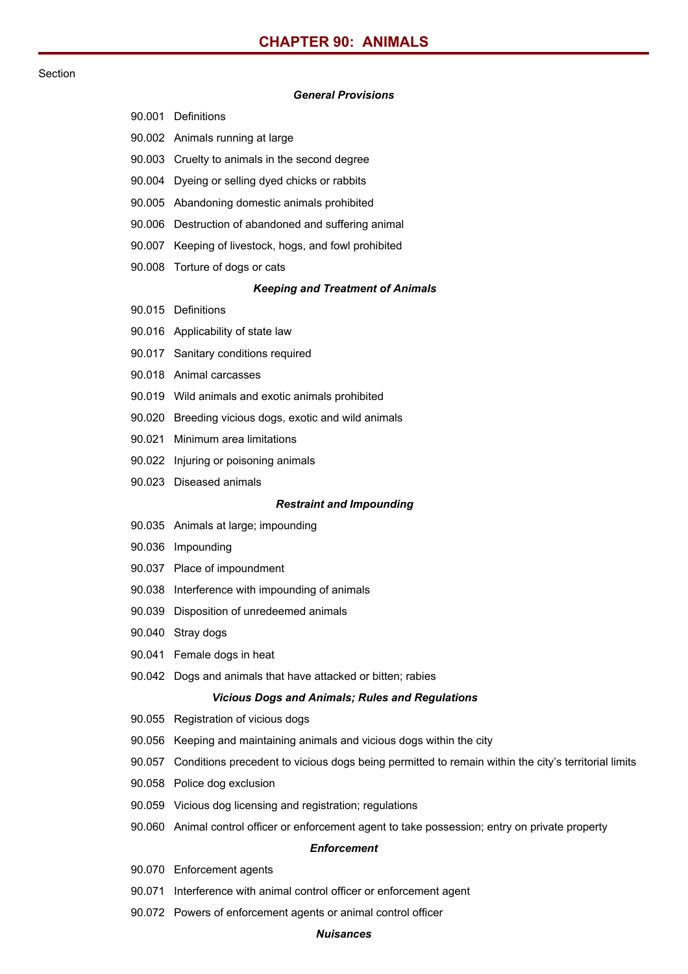# **CHAPTER 90: ANIMALS**

## Section

## *General Provisions*

|                                 | UUIU ALTIUVISIUIIS                                                                                  |
|---------------------------------|-----------------------------------------------------------------------------------------------------|
|                                 | 90.001 Definitions                                                                                  |
|                                 | 90.002 Animals running at large                                                                     |
|                                 | 90.003 Cruelty to animals in the second degree                                                      |
|                                 | 90.004 Dyeing or selling dyed chicks or rabbits                                                     |
|                                 | 90.005 Abandoning domestic animals prohibited                                                       |
|                                 | 90.006 Destruction of abandoned and suffering animal                                                |
|                                 | 90.007 Keeping of livestock, hogs, and fowl prohibited                                              |
|                                 | 90.008 Torture of dogs or cats                                                                      |
|                                 | <b>Keeping and Treatment of Animals</b>                                                             |
|                                 | 90.015 Definitions                                                                                  |
|                                 | 90.016 Applicability of state law                                                                   |
|                                 | 90.017 Sanitary conditions required                                                                 |
|                                 | 90.018 Animal carcasses                                                                             |
|                                 | 90.019 Wild animals and exotic animals prohibited                                                   |
|                                 | 90.020 Breeding vicious dogs, exotic and wild animals                                               |
|                                 | 90.021 Minimum area limitations                                                                     |
|                                 | 90.022 Injuring or poisoning animals                                                                |
|                                 | 90.023 Diseased animals                                                                             |
| <b>Restraint and Impounding</b> |                                                                                                     |
|                                 | 90.035 Animals at large; impounding                                                                 |
|                                 | 90.036 Impounding                                                                                   |
|                                 | 90.037 Place of impoundment                                                                         |
|                                 | 90.038 Interference with impounding of animals                                                      |
|                                 | 90.039 Disposition of unredeemed animals                                                            |
| 90.040                          | Stray dogs                                                                                          |
| 90.041                          | Female dogs in heat                                                                                 |
|                                 | 90.042 Dogs and animals that have attacked or bitten; rabies                                        |
|                                 | <b>Vicious Dogs and Animals; Rules and Regulations</b>                                              |
| 90.055                          | Registration of vicious dogs                                                                        |
| 90.056                          | Keeping and maintaining animals and vicious dogs within the city                                    |
| 90.057                          | Conditions precedent to vicious dogs being permitted to remain within the city's territorial limits |
|                                 | 90.058 Police dog exclusion                                                                         |
|                                 | 90.059 Vicious dog licensing and registration; regulations                                          |
|                                 | 90.060 Animal control officer or enforcement agent to take possession; entry on private property    |
| <b>Enforcement</b>              |                                                                                                     |
|                                 | 90.070 Enforcement agents                                                                           |
| 90.071                          | Interference with animal control officer or enforcement agent                                       |

90.072 Powers of enforcement agents or animal control officer

## *Nuisances*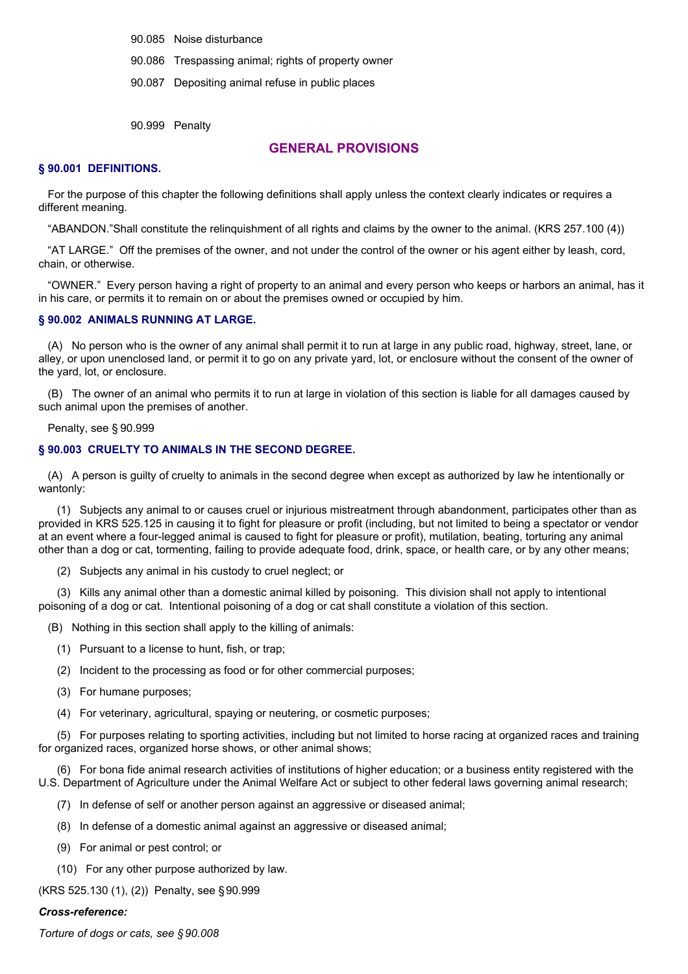90.085 Noise disturbance

90.086 Trespassing animal; rights of property owner

90.087 Depositing animal refuse in public places

90.999 Penalty

## **GENERAL PROVISIONS**

#### **§ 90.001 DEFINITIONS.**

For the purpose of this chapter the following definitions shall apply unless the context clearly indicates or requires a different meaning.

"ABANDON."Shall constitute the relinquishment of all rights and claims by the owner to the animal. (KRS 257.100 (4))

"AT LARGE." Off the premises of the owner, and not under the control of the owner or his agent either by leash, cord, chain, or otherwise.

"OWNER." Every person having a right of property to an animal and every person who keeps or harbors an animal, has it in his care, or permits it to remain on or about the premises owned or occupied by him.

#### **§ 90.002 ANIMALS RUNNING AT LARGE.**

(A) No person who is the owner of any animal shall permit it to run at large in any public road, highway, street, lane, or alley, or upon unenclosed land, or permit it to go on any private yard, lot, or enclosure without the consent of the owner of the yard, lot, or enclosure.

(B) The owner of an animal who permits it to run at large in violation of this section is liable for all damages caused by such animal upon the premises of another.

Penalty, see § 90.999

## **§ 90.003 CRUELTY TO ANIMALS IN THE SECOND DEGREE.**

(A) A person is guilty of cruelty to animals in the second degree when except as authorized by law he intentionally or wantonly:

(1) Subjects any animal to or causes cruel or injurious mistreatment through abandonment, participates other than as provided in KRS 525.125 in causing it to fight for pleasure or profit (including, but not limited to being a spectator or vendor at an event where a four-legged animal is caused to fight for pleasure or profit), mutilation, beating, torturing any animal other than a dog or cat, tormenting, failing to provide adequate food, drink, space, or health care, or by any other means;

(2) Subjects any animal in his custody to cruel neglect; or

(3) Kills any animal other than a domestic animal killed by poisoning. This division shall not apply to intentional poisoning of a dog or cat. Intentional poisoning of a dog or cat shall constitute a violation of this section.

(B) Nothing in this section shall apply to the killing of animals:

- (1) Pursuant to a license to hunt, fish, or trap;
- (2) Incident to the processing as food or for other commercial purposes;
- (3) For humane purposes;
- (4) For veterinary, agricultural, spaying or neutering, or cosmetic purposes;

(5) For purposes relating to sporting activities, including but not limited to horse racing at organized races and training for organized races, organized horse shows, or other animal shows;

(6) For bona fide animal research activities of institutions of higher education; or a business entity registered with the U.S. Department of Agriculture under the Animal Welfare Act or subject to other federal laws governing animal research;

- (7) In defense of self or another person against an aggressive or diseased animal;
- (8) In defense of a domestic animal against an aggressive or diseased animal;
- (9) For animal or pest control; or
- (10) For any other purpose authorized by law.

(KRS 525.130 (1), (2)) Penalty, see §90.999

#### *Cross-reference:*

*Torture of dogs or cats, see § 90.008*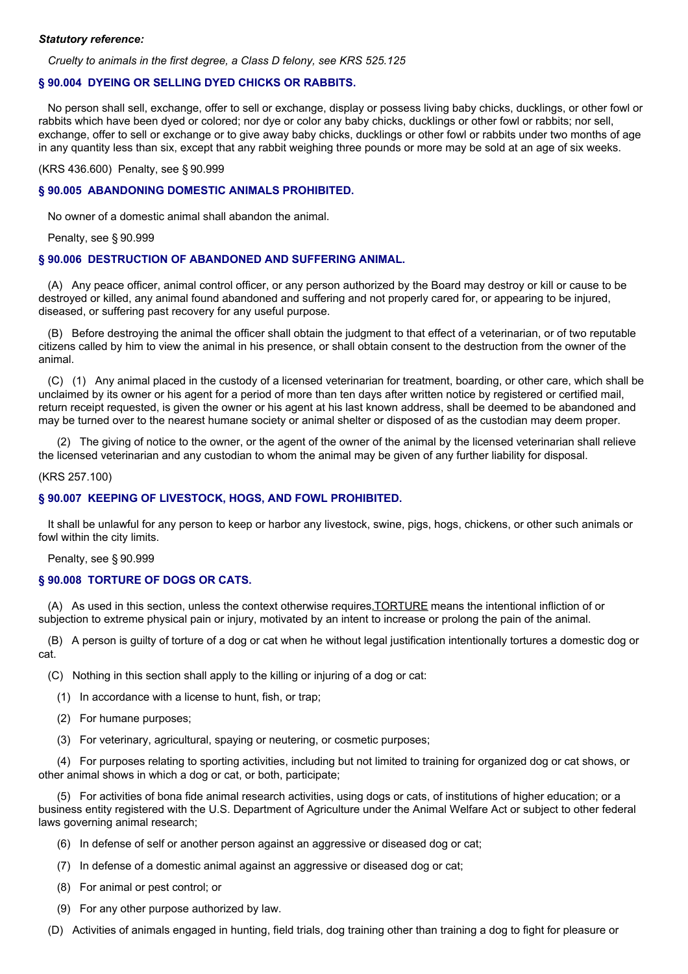#### *Statutory reference:*

*Cruelty to animals in the first degree, a Class D felony, see KRS 525.125*

#### **§ 90.004 DYEING OR SELLING DYED CHICKS OR RABBITS.**

No person shall sell, exchange, offer to sell or exchange, display or possess living baby chicks, ducklings, or other fowl or rabbits which have been dyed or colored; nor dye or color any baby chicks, ducklings or other fowl or rabbits; nor sell, exchange, offer to sell or exchange or to give away baby chicks, ducklings or other fowl or rabbits under two months of age in any quantity less than six, except that any rabbit weighing three pounds or more may be sold at an age of six weeks.

(KRS 436.600) Penalty, see § 90.999

#### **§ 90.005 ABANDONING DOMESTIC ANIMALS PROHIBITED.**

No owner of a domestic animal shall abandon the animal.

Penalty, see § 90.999

#### **§ 90.006 DESTRUCTION OF ABANDONED AND SUFFERING ANIMAL.**

(A) Any peace officer, animal control officer, or any person authorized by the Board may destroy or kill or cause to be destroyed or killed, any animal found abandoned and suffering and not properly cared for, or appearing to be injured, diseased, or suffering past recovery for any useful purpose.

(B) Before destroying the animal the officer shall obtain the judgment to that effect of a veterinarian, or of two reputable citizens called by him to view the animal in his presence, or shall obtain consent to the destruction from the owner of the animal.

(C) (1) Any animal placed in the custody of a licensed veterinarian for treatment, boarding, or other care, which shall be unclaimed by its owner or his agent for a period of more than ten days after written notice by registered or certified mail, return receipt requested, is given the owner or his agent at his last known address, shall be deemed to be abandoned and may be turned over to the nearest humane society or animal shelter or disposed of as the custodian may deem proper.

(2) The giving of notice to the owner, or the agent of the owner of the animal by the licensed veterinarian shall relieve the licensed veterinarian and any custodian to whom the animal may be given of any further liability for disposal.

#### (KRS 257.100)

#### **§ 90.007 KEEPING OF LIVESTOCK, HOGS, AND FOWL PROHIBITED.**

It shall be unlawful for any person to keep or harbor any livestock, swine, pigs, hogs, chickens, or other such animals or fowl within the city limits.

#### Penalty, see § 90.999

#### **§ 90.008 TORTURE OF DOGS OR CATS.**

(A) As used in this section, unless the context otherwise requires,TORTURE means the intentional infliction of or subjection to extreme physical pain or injury, motivated by an intent to increase or prolong the pain of the animal.

(B) A person is guilty of torture of a dog or cat when he without legal justification intentionally tortures a domestic dog or cat.

- (C) Nothing in this section shall apply to the killing or injuring of a dog or cat:
	- (1) In accordance with a license to hunt, fish, or trap;
	- (2) For humane purposes;
	- (3) For veterinary, agricultural, spaying or neutering, or cosmetic purposes;

(4) For purposes relating to sporting activities, including but not limited to training for organized dog or cat shows, or other animal shows in which a dog or cat, or both, participate;

(5) For activities of bona fide animal research activities, using dogs or cats, of institutions of higher education; or a business entity registered with the U.S. Department of Agriculture under the Animal Welfare Act or subject to other federal laws governing animal research;

- (6) In defense of self or another person against an aggressive or diseased dog or cat;
- (7) In defense of a domestic animal against an aggressive or diseased dog or cat;
- (8) For animal or pest control; or
- (9) For any other purpose authorized by law.
- (D) Activities of animals engaged in hunting, field trials, dog training other than training a dog to fight for pleasure or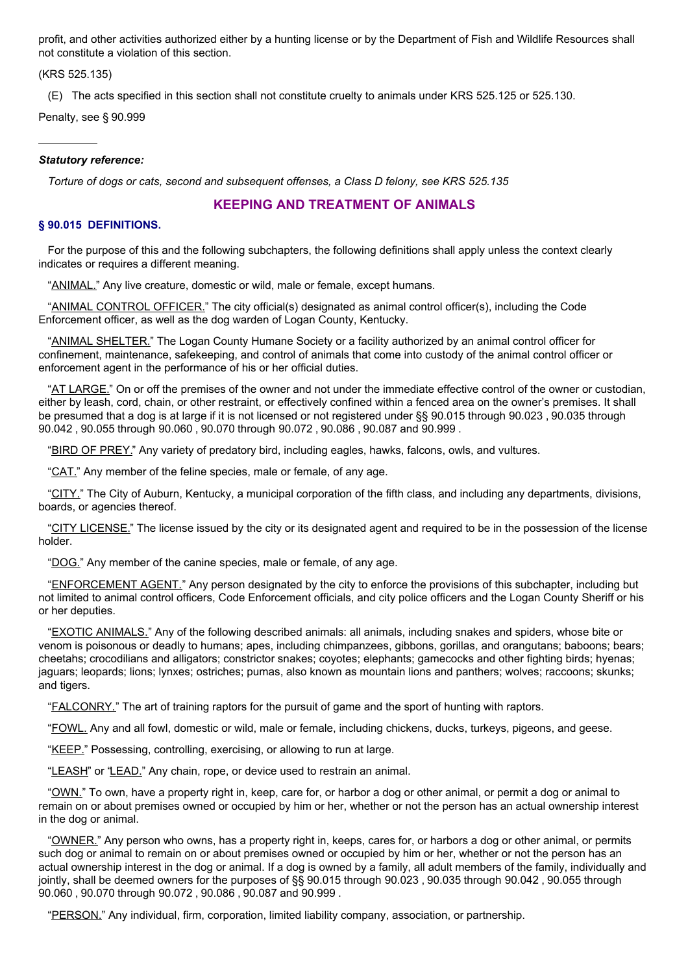profit, and other activities authorized either by a hunting license or by the Department of Fish and Wildlife Resources shall not constitute a violation of this section.

(KRS 525.135)

(E) The acts specified in this section shall not constitute cruelty to animals under KRS 525.125 or 525.130.

Penalty, see § 90.999

#### *Statutory reference:*

*Torture of dogs or cats, second and subsequent offenses, a Class D felony, see KRS 525.135*

## **KEEPING AND TREATMENT OF ANIMALS**

## **§ 90.015 DEFINITIONS.**

For the purpose of this and the following subchapters, the following definitions shall apply unless the context clearly indicates or requires a different meaning.

"ANIMAL." Any live creature, domestic or wild, male or female, except humans.

"ANIMAL CONTROL OFFICER." The city official(s) designated as animal control officer(s), including the Code Enforcement officer, as well as the dog warden of Logan County, Kentucky.

"ANIMAL SHELTER." The Logan County Humane Society or a facility authorized by an animal control officer for confinement, maintenance, safekeeping, and control of animals that come into custody of the animal control officer or enforcement agent in the performance of his or her official duties.

"AT LARGE." On or off the premises of the owner and not under the immediate effective control of the owner or custodian, either by leash, cord, chain, or other restraint, or effectively confined within a fenced area on the owner's premises. It shall be presumed that a dog is at large if it is not licensed or not registered under §§ 90.015 through 90.023 , 90.035 through 90.042 , 90.055 through 90.060 , 90.070 through 90.072 , 90.086 , 90.087 and 90.999 .

"BIRD OF PREY." Any variety of predatory bird, including eagles, hawks, falcons, owls, and vultures.

"CAT." Any member of the feline species, male or female, of any age.

"CITY." The City of Auburn, Kentucky, a municipal corporation of the fifth class, and including any departments, divisions, boards, or agencies thereof.

"CITY LICENSE." The license issued by the city or its designated agent and required to be in the possession of the license holder.

"DOG." Any member of the canine species, male or female, of any age.

"ENFORCEMENT AGENT." Any person designated by the city to enforce the provisions of this subchapter, including but not limited to animal control officers, Code Enforcement officials, and city police officers and the Logan County Sheriff or his or her deputies.

"EXOTIC ANIMALS." Any of the following described animals: all animals, including snakes and spiders, whose bite or venom is poisonous or deadly to humans; apes, including chimpanzees, gibbons, gorillas, and orangutans; baboons; bears; cheetahs; crocodilians and alligators; constrictor snakes; coyotes; elephants; gamecocks and other fighting birds; hyenas; jaguars; leopards; lions; lynxes; ostriches; pumas, also known as mountain lions and panthers; wolves; raccoons; skunks; and tigers.

"FALCONRY." The art of training raptors for the pursuit of game and the sport of hunting with raptors.

"FOWL. Any and all fowl, domestic or wild, male or female, including chickens, ducks, turkeys, pigeons, and geese.

"KEEP." Possessing, controlling, exercising, or allowing to run at large.

"LEASH" or "LEAD." Any chain, rope, or device used to restrain an animal.

"OWN." To own, have a property right in, keep, care for, or harbor a dog or other animal, or permit a dog or animal to remain on or about premises owned or occupied by him or her, whether or not the person has an actual ownership interest in the dog or animal.

"OWNER." Any person who owns, has a property right in, keeps, cares for, or harbors a dog or other animal, or permits such dog or animal to remain on or about premises owned or occupied by him or her, whether or not the person has an actual ownership interest in the dog or animal. If a dog is owned by a family, all adult members of the family, individually and jointly, shall be deemed owners for the purposes of §§ 90.015 through 90.023 , 90.035 through 90.042 , 90.055 through 90.060 , 90.070 through 90.072 , 90.086 , 90.087 and 90.999 .

"PERSON." Any individual, firm, corporation, limited liability company, association, or partnership.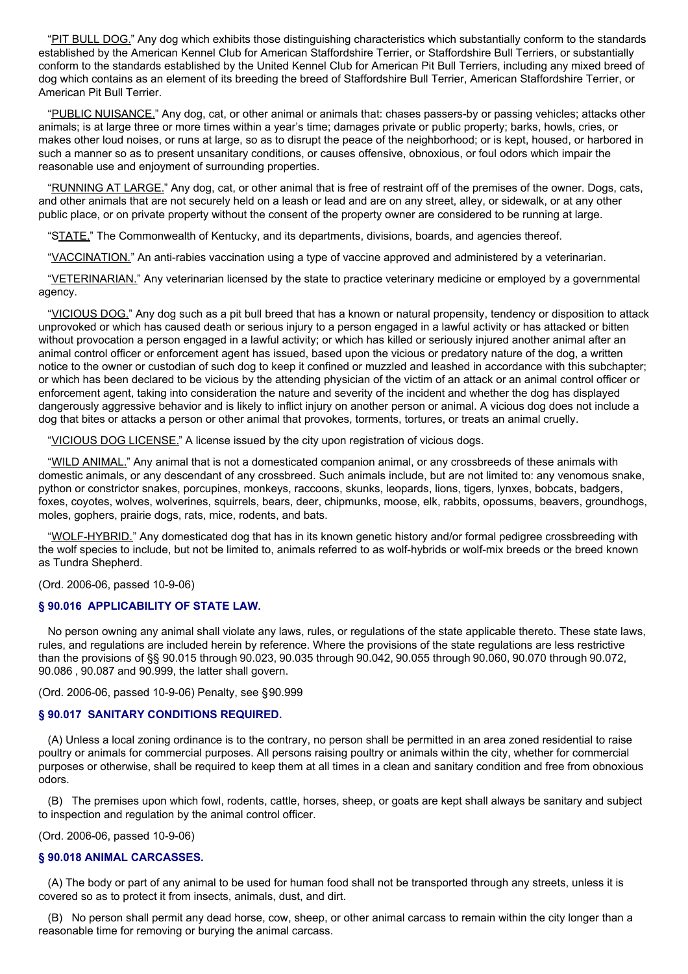"PIT BULL DOG." Any dog which exhibits those distinguishing characteristics which substantially conform to the standards established by the American Kennel Club for American Staffordshire Terrier, or Staffordshire Bull Terriers, or substantially conform to the standards established by the United Kennel Club for American Pit Bull Terriers, including any mixed breed of dog which contains as an element of its breeding the breed of Staffordshire Bull Terrier, American Staffordshire Terrier, or American Pit Bull Terrier.

"PUBLIC NUISANCE." Any dog, cat, or other animal or animals that: chases passers-by or passing vehicles; attacks other animals; is at large three or more times within a year's time; damages private or public property; barks, howls, cries, or makes other loud noises, or runs at large, so as to disrupt the peace of the neighborhood; or is kept, housed, or harbored in such a manner so as to present unsanitary conditions, or causes offensive, obnoxious, or foul odors which impair the reasonable use and enjoyment of surrounding properties.

"RUNNING AT LARGE." Any dog, cat, or other animal that is free of restraint off of the premises of the owner. Dogs, cats, and other animals that are not securely held on a leash or lead and are on any street, alley, or sidewalk, or at any other public place, or on private property without the consent of the property owner are considered to be running at large.

"STATE." The Commonwealth of Kentucky, and its departments, divisions, boards, and agencies thereof.

"VACCINATION." An anti-rabies vaccination using a type of vaccine approved and administered by a veterinarian.

"VETERINARIAN." Any veterinarian licensed by the state to practice veterinary medicine or employed by a governmental agency.

"VICIOUS DOG." Any dog such as a pit bull breed that has a known or natural propensity, tendency or disposition to attack unprovoked or which has caused death or serious injury to a person engaged in a lawful activity or has attacked or bitten without provocation a person engaged in a lawful activity; or which has killed or seriously injured another animal after an animal control officer or enforcement agent has issued, based upon the vicious or predatory nature of the dog, a written notice to the owner or custodian of such dog to keep it confined or muzzled and leashed in accordance with this subchapter; or which has been declared to be vicious by the attending physician of the victim of an attack or an animal control officer or enforcement agent, taking into consideration the nature and severity of the incident and whether the dog has displayed dangerously aggressive behavior and is likely to inflict injury on another person or animal. A vicious dog does not include a dog that bites or attacks a person or other animal that provokes, torments, tortures, or treats an animal cruelly.

"VICIOUS DOG LICENSE." A license issued by the city upon registration of vicious dogs.

"WILD ANIMAL." Any animal that is not a domesticated companion animal, or any crossbreeds of these animals with domestic animals, or any descendant of any crossbreed. Such animals include, but are not limited to: any venomous snake, python or constrictor snakes, porcupines, monkeys, raccoons, skunks, leopards, lions, tigers, lynxes, bobcats, badgers, foxes, coyotes, wolves, wolverines, squirrels, bears, deer, chipmunks, moose, elk, rabbits, opossums, beavers, groundhogs, moles, gophers, prairie dogs, rats, mice, rodents, and bats.

"WOLF-HYBRID." Any domesticated dog that has in its known genetic history and/or formal pedigree crossbreeding with the wolf species to include, but not be limited to, animals referred to as wolf-hybrids or wolf-mix breeds or the breed known as Tundra Shepherd.

(Ord. 2006-06, passed 10-9-06)

#### **§ 90.016 APPLICABILITY OF STATE LAW.**

No person owning any animal shall violate any laws, rules, or regulations of the state applicable thereto. These state laws, rules, and regulations are included herein by reference. Where the provisions of the state regulations are less restrictive than the provisions of §§ 90.015 through 90.023, 90.035 through 90.042, 90.055 through 90.060, 90.070 through 90.072, 90.086 , 90.087 and 90.999, the latter shall govern.

(Ord. 2006-06, passed 10-9-06) Penalty, see §90.999

#### **§ 90.017 SANITARY CONDITIONS REQUIRED.**

(A) Unless a local zoning ordinance is to the contrary, no person shall be permitted in an area zoned residential to raise poultry or animals for commercial purposes. All persons raising poultry or animals within the city, whether for commercial purposes or otherwise, shall be required to keep them at all times in a clean and sanitary condition and free from obnoxious odors.

(B) The premises upon which fowl, rodents, cattle, horses, sheep, or goats are kept shall always be sanitary and subject to inspection and regulation by the animal control officer.

(Ord. 2006-06, passed 10-9-06)

## **§ 90.018 ANIMAL CARCASSES.**

(A) The body or part of any animal to be used for human food shall not be transported through any streets, unless it is covered so as to protect it from insects, animals, dust, and dirt.

(B) No person shall permit any dead horse, cow, sheep, or other animal carcass to remain within the city longer than a reasonable time for removing or burying the animal carcass.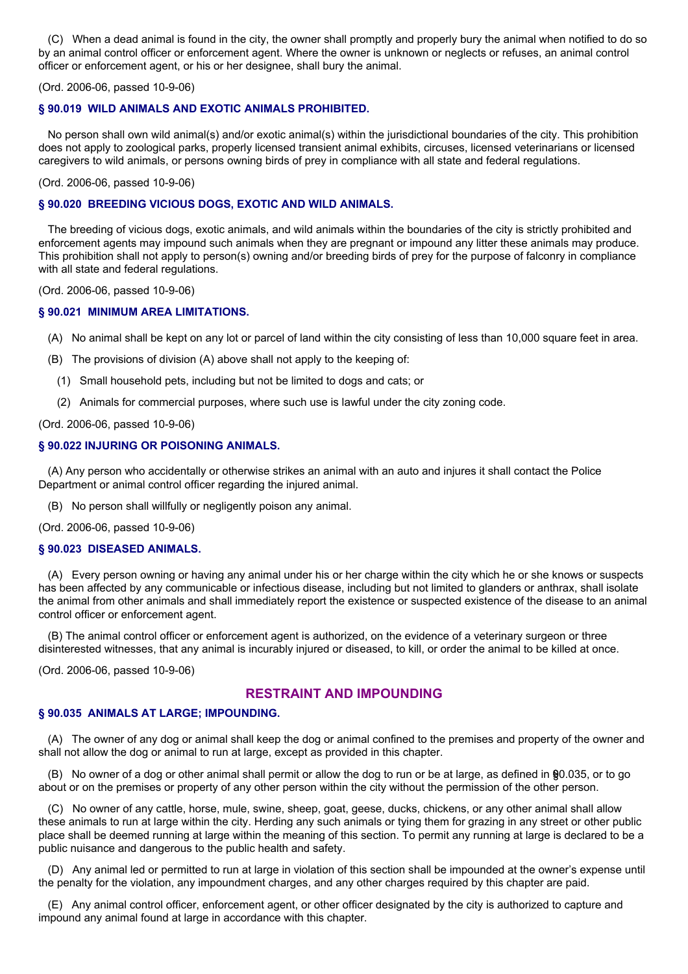(C) When a dead animal is found in the city, the owner shall promptly and properly bury the animal when notified to do so by an animal control officer or enforcement agent. Where the owner is unknown or neglects or refuses, an animal control officer or enforcement agent, or his or her designee, shall bury the animal.

(Ord. 2006-06, passed 10-9-06)

## **§ 90.019 WILD ANIMALS AND EXOTIC ANIMALS PROHIBITED.**

No person shall own wild animal(s) and/or exotic animal(s) within the jurisdictional boundaries of the city. This prohibition does not apply to zoological parks, properly licensed transient animal exhibits, circuses, licensed veterinarians or licensed caregivers to wild animals, or persons owning birds of prey in compliance with all state and federal regulations.

(Ord. 2006-06, passed 10-9-06)

### **§ 90.020 BREEDING VICIOUS DOGS, EXOTIC AND WILD ANIMALS.**

The breeding of vicious dogs, exotic animals, and wild animals within the boundaries of the city is strictly prohibited and enforcement agents may impound such animals when they are pregnant or impound any litter these animals may produce. This prohibition shall not apply to person(s) owning and/or breeding birds of prey for the purpose of falconry in compliance with all state and federal regulations.

(Ord. 2006-06, passed 10-9-06)

## **§ 90.021 MINIMUM AREA LIMITATIONS.**

- (A) No animal shall be kept on any lot or parcel of land within the city consisting of less than 10,000 square feet in area.
- (B) The provisions of division (A) above shall not apply to the keeping of:
	- (1) Small household pets, including but not be limited to dogs and cats; or
- (2) Animals for commercial purposes, where such use is lawful under the city zoning code.

(Ord. 2006-06, passed 10-9-06)

## **§ 90.022 INJURING OR POISONING ANIMALS.**

(A) Any person who accidentally or otherwise strikes an animal with an auto and injures it shall contact the Police Department or animal control officer regarding the injured animal.

(B) No person shall willfully or negligently poison any animal.

(Ord. 2006-06, passed 10-9-06)

#### **§ 90.023 DISEASED ANIMALS.**

(A) Every person owning or having any animal under his or her charge within the city which he or she knows or suspects has been affected by any communicable or infectious disease, including but not limited to glanders or anthrax, shall isolate the animal from other animals and shall immediately report the existence or suspected existence of the disease to an animal control officer or enforcement agent.

(B) The animal control officer or enforcement agent is authorized, on the evidence of a veterinary surgeon or three disinterested witnesses, that any animal is incurably injured or diseased, to kill, or order the animal to be killed at once.

(Ord. 2006-06, passed 10-9-06)

## **RESTRAINT AND IMPOUNDING**

## **§ 90.035 ANIMALS AT LARGE; IMPOUNDING.**

(A) The owner of any dog or animal shall keep the dog or animal confined to the premises and property of the owner and shall not allow the dog or animal to run at large, except as provided in this chapter.

(B) No owner of a dog or other animal shall permit or allow the dog to run or be at large, as defined in §90.035, or to go about or on the premises or property of any other person within the city without the permission of the other person.

(C) No owner of any cattle, horse, mule, swine, sheep, goat, geese, ducks, chickens, or any other animal shall allow these animals to run at large within the city. Herding any such animals or tying them for grazing in any street or other public place shall be deemed running at large within the meaning of this section. To permit any running at large is declared to be a public nuisance and dangerous to the public health and safety.

(D) Any animal led or permitted to run at large in violation of this section shall be impounded at the owner's expense until the penalty for the violation, any impoundment charges, and any other charges required by this chapter are paid.

(E) Any animal control officer, enforcement agent, or other officer designated by the city is authorized to capture and impound any animal found at large in accordance with this chapter.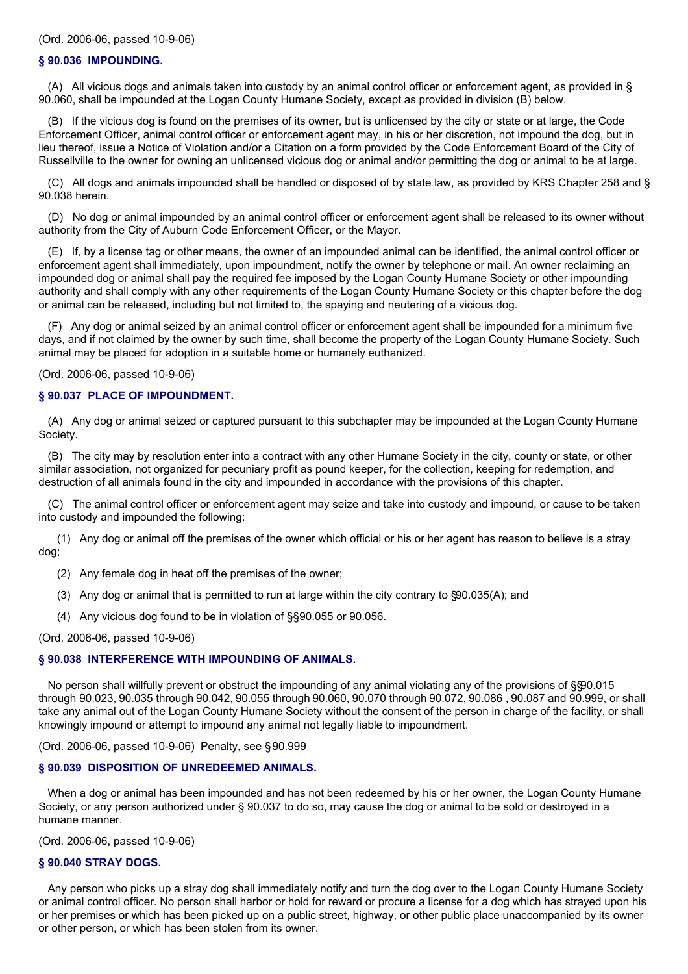#### **§ 90.036 IMPOUNDING.**

(A) All vicious dogs and animals taken into custody by an animal control officer or enforcement agent, as provided in § 90.060, shall be impounded at the Logan County Humane Society, except as provided in division (B) below.

(B) If the vicious dog is found on the premises of its owner, but is unlicensed by the city or state or at large, the Code Enforcement Officer, animal control officer or enforcement agent may, in his or her discretion, not impound the dog, but in lieu thereof, issue a Notice of Violation and/or a Citation on a form provided by the Code Enforcement Board of the City of Russellville to the owner for owning an unlicensed vicious dog or animal and/or permitting the dog or animal to be at large.

(C) All dogs and animals impounded shall be handled or disposed of by state law, as provided by KRS Chapter 258 and § 90.038 herein.

(D) No dog or animal impounded by an animal control officer or enforcement agent shall be released to its owner without authority from the City of Auburn Code Enforcement Officer, or the Mayor.

(E) If, by a license tag or other means, the owner of an impounded animal can be identified, the animal control officer or enforcement agent shall immediately, upon impoundment, notify the owner by telephone or mail. An owner reclaiming an impounded dog or animal shall pay the required fee imposed by the Logan County Humane Society or other impounding authority and shall comply with any other requirements of the Logan County Humane Society or this chapter before the dog or animal can be released, including but not limited to, the spaying and neutering of a vicious dog.

(F) Any dog or animal seized by an animal control officer or enforcement agent shall be impounded for a minimum five days, and if not claimed by the owner by such time, shall become the property of the Logan County Humane Society. Such animal may be placed for adoption in a suitable home or humanely euthanized.

(Ord. 2006-06, passed 10-9-06)

#### **§ 90.037 PLACE OF IMPOUNDMENT.**

(A) Any dog or animal seized or captured pursuant to this subchapter may be impounded at the Logan County Humane Society.

(B) The city may by resolution enter into a contract with any other Humane Society in the city, county or state, or other similar association, not organized for pecuniary profit as pound keeper, for the collection, keeping for redemption, and destruction of all animals found in the city and impounded in accordance with the provisions of this chapter.

(C) The animal control officer or enforcement agent may seize and take into custody and impound, or cause to be taken into custody and impounded the following:

(1) Any dog or animal off the premises of the owner which official or his or her agent has reason to believe is a stray dog;

- (2) Any female dog in heat off the premises of the owner;
- (3) Any dog or animal that is permitted to run at large within the city contrary to §90.035(A); and
- (4) Any vicious dog found to be in violation of §§90.055 or 90.056.

(Ord. 2006-06, passed 10-9-06)

#### **§ 90.038 INTERFERENCE WITH IMPOUNDING OF ANIMALS.**

No person shall willfully prevent or obstruct the impounding of any animal violating any of the provisions of §§0.015 through 90.023, 90.035 through 90.042, 90.055 through 90.060, 90.070 through 90.072, 90.086 , 90.087 and 90.999, or shall take any animal out of the Logan County Humane Society without the consent of the person in charge of the facility, or shall knowingly impound or attempt to impound any animal not legally liable to impoundment.

(Ord. 2006-06, passed 10-9-06) Penalty, see §90.999

## **§ 90.039 DISPOSITION OF UNREDEEMED ANIMALS.**

When a dog or animal has been impounded and has not been redeemed by his or her owner, the Logan County Humane Society, or any person authorized under § 90.037 to do so, may cause the dog or animal to be sold or destroyed in a humane manner.

(Ord. 2006-06, passed 10-9-06)

## **§ 90.040 STRAY DOGS.**

Any person who picks up a stray dog shall immediately notify and turn the dog over to the Logan County Humane Society or animal control officer. No person shall harbor or hold for reward or procure a license for a dog which has strayed upon his or her premises or which has been picked up on a public street, highway, or other public place unaccompanied by its owner or other person, or which has been stolen from its owner.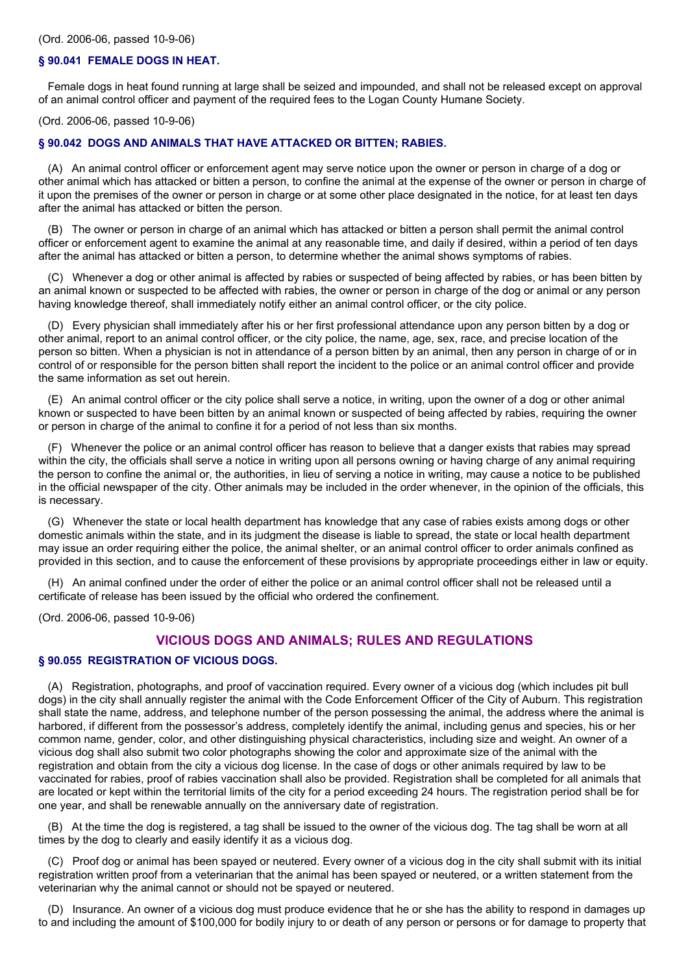#### **§ 90.041 FEMALE DOGS IN HEAT.**

Female dogs in heat found running at large shall be seized and impounded, and shall not be released except on approval of an animal control officer and payment of the required fees to the Logan County Humane Society.

(Ord. 2006-06, passed 10-9-06)

#### **§ 90.042 DOGS AND ANIMALS THAT HAVE ATTACKED OR BITTEN; RABIES.**

(A) An animal control officer or enforcement agent may serve notice upon the owner or person in charge of a dog or other animal which has attacked or bitten a person, to confine the animal at the expense of the owner or person in charge of it upon the premises of the owner or person in charge or at some other place designated in the notice, for at least ten days after the animal has attacked or bitten the person.

(B) The owner or person in charge of an animal which has attacked or bitten a person shall permit the animal control officer or enforcement agent to examine the animal at any reasonable time, and daily if desired, within a period of ten days after the animal has attacked or bitten a person, to determine whether the animal shows symptoms of rabies.

(C) Whenever a dog or other animal is affected by rabies or suspected of being affected by rabies, or has been bitten by an animal known or suspected to be affected with rabies, the owner or person in charge of the dog or animal or any person having knowledge thereof, shall immediately notify either an animal control officer, or the city police.

(D) Every physician shall immediately after his or her first professional attendance upon any person bitten by a dog or other animal, report to an animal control officer, or the city police, the name, age, sex, race, and precise location of the person so bitten. When a physician is not in attendance of a person bitten by an animal, then any person in charge of or in control of or responsible for the person bitten shall report the incident to the police or an animal control officer and provide the same information as set out herein.

(E) An animal control officer or the city police shall serve a notice, in writing, upon the owner of a dog or other animal known or suspected to have been bitten by an animal known or suspected of being affected by rabies, requiring the owner or person in charge of the animal to confine it for a period of not less than six months.

(F) Whenever the police or an animal control officer has reason to believe that a danger exists that rabies may spread within the city, the officials shall serve a notice in writing upon all persons owning or having charge of any animal requiring the person to confine the animal or, the authorities, in lieu of serving a notice in writing, may cause a notice to be published in the official newspaper of the city. Other animals may be included in the order whenever, in the opinion of the officials, this is necessary.

(G) Whenever the state or local health department has knowledge that any case of rabies exists among dogs or other domestic animals within the state, and in its judgment the disease is liable to spread, the state or local health department may issue an order requiring either the police, the animal shelter, or an animal control officer to order animals confined as provided in this section, and to cause the enforcement of these provisions by appropriate proceedings either in law or equity.

(H) An animal confined under the order of either the police or an animal control officer shall not be released until a certificate of release has been issued by the official who ordered the confinement.

(Ord. 2006-06, passed 10-9-06)

## **VICIOUS DOGS AND ANIMALS; RULES AND REGULATIONS**

#### **§ 90.055 REGISTRATION OF VICIOUS DOGS.**

(A) Registration, photographs, and proof of vaccination required. Every owner of a vicious dog (which includes pit bull dogs) in the city shall annually register the animal with the Code Enforcement Officer of the City of Auburn. This registration shall state the name, address, and telephone number of the person possessing the animal, the address where the animal is harbored, if different from the possessor's address, completely identify the animal, including genus and species, his or her common name, gender, color, and other distinguishing physical characteristics, including size and weight. An owner of a vicious dog shall also submit two color photographs showing the color and approximate size of the animal with the registration and obtain from the city a vicious dog license. In the case of dogs or other animals required by law to be vaccinated for rabies, proof of rabies vaccination shall also be provided. Registration shall be completed for all animals that are located or kept within the territorial limits of the city for a period exceeding 24 hours. The registration period shall be for one year, and shall be renewable annually on the anniversary date of registration.

(B) At the time the dog is registered, a tag shall be issued to the owner of the vicious dog. The tag shall be worn at all times by the dog to clearly and easily identify it as a vicious dog.

(C) Proof dog or animal has been spayed or neutered. Every owner of a vicious dog in the city shall submit with its initial registration written proof from a veterinarian that the animal has been spayed or neutered, or a written statement from the veterinarian why the animal cannot or should not be spayed or neutered.

(D) Insurance. An owner of a vicious dog must produce evidence that he or she has the ability to respond in damages up to and including the amount of \$100,000 for bodily injury to or death of any person or persons or for damage to property that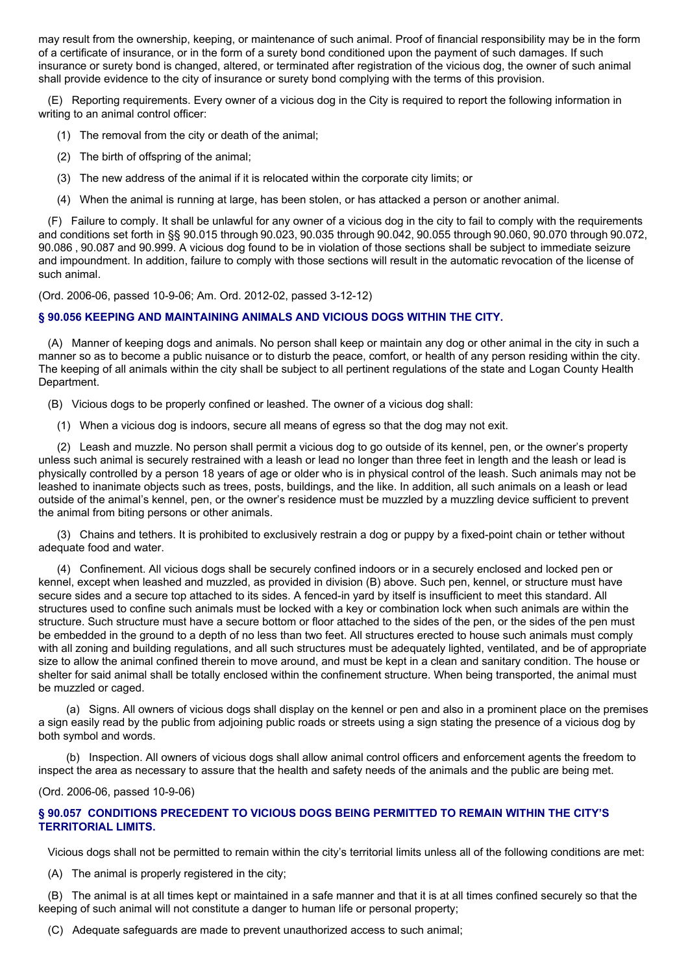may result from the ownership, keeping, or maintenance of such animal. Proof of financial responsibility may be in the form of a certificate of insurance, or in the form of a surety bond conditioned upon the payment of such damages. If such insurance or surety bond is changed, altered, or terminated after registration of the vicious dog, the owner of such animal shall provide evidence to the city of insurance or surety bond complying with the terms of this provision.

(E) Reporting requirements. Every owner of a vicious dog in the City is required to report the following information in writing to an animal control officer:

- (1) The removal from the city or death of the animal;
- (2) The birth of offspring of the animal;
- (3) The new address of the animal if it is relocated within the corporate city limits; or
- (4) When the animal is running at large, has been stolen, or has attacked a person or another animal.

(F) Failure to comply. It shall be unlawful for any owner of a vicious dog in the city to fail to comply with the requirements and conditions set forth in §§ 90.015 through 90.023, 90.035 through 90.042, 90.055 through 90.060, 90.070 through 90.072, 90.086 , 90.087 and 90.999. A vicious dog found to be in violation of those sections shall be subject to immediate seizure and impoundment. In addition, failure to comply with those sections will result in the automatic revocation of the license of such animal.

(Ord. 2006-06, passed 10-9-06; Am. Ord. 2012-02, passed 3-12-12)

## **§ 90.056 KEEPING AND MAINTAINING ANIMALS AND VICIOUS DOGS WITHIN THE CITY.**

(A) Manner of keeping dogs and animals. No person shall keep or maintain any dog or other animal in the city in such a manner so as to become a public nuisance or to disturb the peace, comfort, or health of any person residing within the city. The keeping of all animals within the city shall be subject to all pertinent regulations of the state and Logan County Health Department.

(B) Vicious dogs to be properly confined or leashed. The owner of a vicious dog shall:

(1) When a vicious dog is indoors, secure all means of egress so that the dog may not exit.

(2) Leash and muzzle. No person shall permit a vicious dog to go outside of its kennel, pen, or the owner's property unless such animal is securely restrained with a leash or lead no longer than three feet in length and the leash or lead is physically controlled by a person 18 years of age or older who is in physical control of the leash. Such animals may not be leashed to inanimate objects such as trees, posts, buildings, and the like. In addition, all such animals on a leash or lead outside of the animal's kennel, pen, or the owner's residence must be muzzled by a muzzling device sufficient to prevent the animal from biting persons or other animals.

(3) Chains and tethers. It is prohibited to exclusively restrain a dog or puppy by a fixed-point chain or tether without adequate food and water.

(4) Confinement. All vicious dogs shall be securely confined indoors or in a securely enclosed and locked pen or kennel, except when leashed and muzzled, as provided in division (B) above. Such pen, kennel, or structure must have secure sides and a secure top attached to its sides. A fenced-in yard by itself is insufficient to meet this standard. All structures used to confine such animals must be locked with a key or combination lock when such animals are within the structure. Such structure must have a secure bottom or floor attached to the sides of the pen, or the sides of the pen must be embedded in the ground to a depth of no less than two feet. All structures erected to house such animals must comply with all zoning and building regulations, and all such structures must be adequately lighted, ventilated, and be of appropriate size to allow the animal confined therein to move around, and must be kept in a clean and sanitary condition. The house or shelter for said animal shall be totally enclosed within the confinement structure. When being transported, the animal must be muzzled or caged.

(a) Signs. All owners of vicious dogs shall display on the kennel or pen and also in a prominent place on the premises a sign easily read by the public from adjoining public roads or streets using a sign stating the presence of a vicious dog by both symbol and words.

(b) Inspection. All owners of vicious dogs shall allow animal control officers and enforcement agents the freedom to inspect the area as necessary to assure that the health and safety needs of the animals and the public are being met.

(Ord. 2006-06, passed 10-9-06)

## **§ 90.057 CONDITIONS PRECEDENT TO VICIOUS DOGS BEING PERMITTED TO REMAIN WITHIN THE CITY'S TERRITORIAL LIMITS.**

Vicious dogs shall not be permitted to remain within the city's territorial limits unless all of the following conditions are met:

(A) The animal is properly registered in the city;

(B) The animal is at all times kept or maintained in a safe manner and that it is at all times confined securely so that the keeping of such animal will not constitute a danger to human life or personal property;

(C) Adequate safeguards are made to prevent unauthorized access to such animal;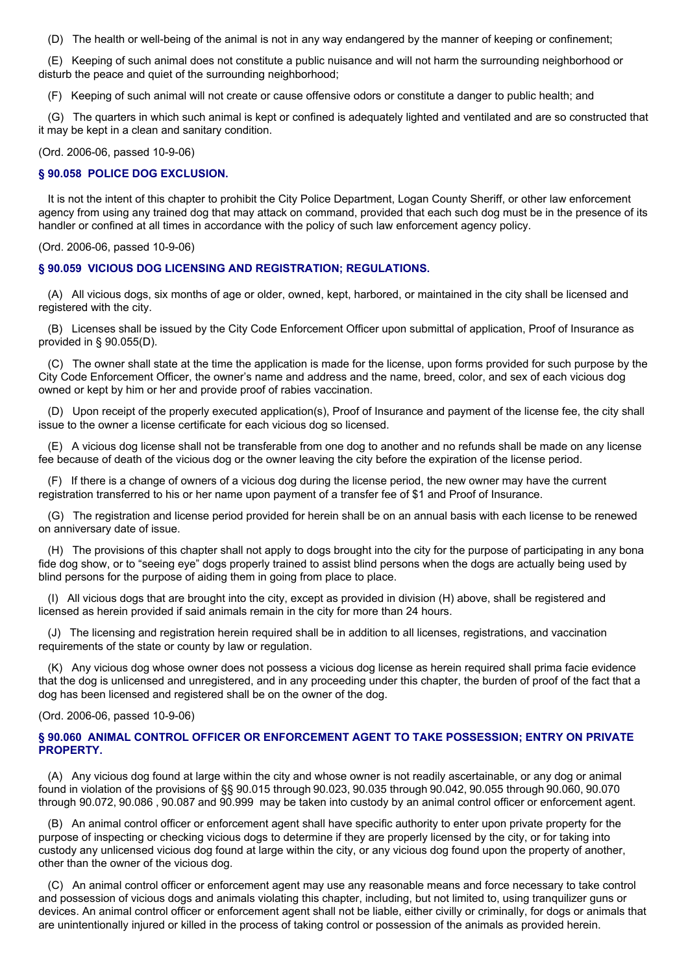(D) The health or well-being of the animal is not in any way endangered by the manner of keeping or confinement;

(E) Keeping of such animal does not constitute a public nuisance and will not harm the surrounding neighborhood or disturb the peace and quiet of the surrounding neighborhood;

(F) Keeping of such animal will not create or cause offensive odors or constitute a danger to public health; and

(G) The quarters in which such animal is kept or confined is adequately lighted and ventilated and are so constructed that it may be kept in a clean and sanitary condition.

#### (Ord. 2006-06, passed 10-9-06)

#### **§ 90.058 POLICE DOG EXCLUSION.**

It is not the intent of this chapter to prohibit the City Police Department, Logan County Sheriff, or other law enforcement agency from using any trained dog that may attack on command, provided that each such dog must be in the presence of its handler or confined at all times in accordance with the policy of such law enforcement agency policy.

(Ord. 2006-06, passed 10-9-06)

#### **§ 90.059 VICIOUS DOG LICENSING AND REGISTRATION; REGULATIONS.**

(A) All vicious dogs, six months of age or older, owned, kept, harbored, or maintained in the city shall be licensed and registered with the city.

(B) Licenses shall be issued by the City Code Enforcement Officer upon submittal of application, Proof of Insurance as provided in § 90.055(D).

(C) The owner shall state at the time the application is made for the license, upon forms provided for such purpose by the City Code Enforcement Officer, the owner's name and address and the name, breed, color, and sex of each vicious dog owned or kept by him or her and provide proof of rabies vaccination.

(D) Upon receipt of the properly executed application(s), Proof of Insurance and payment of the license fee, the city shall issue to the owner a license certificate for each vicious dog so licensed.

(E) A vicious dog license shall not be transferable from one dog to another and no refunds shall be made on any license fee because of death of the vicious dog or the owner leaving the city before the expiration of the license period.

(F) If there is a change of owners of a vicious dog during the license period, the new owner may have the current registration transferred to his or her name upon payment of a transfer fee of \$1 and Proof of Insurance.

(G) The registration and license period provided for herein shall be on an annual basis with each license to be renewed on anniversary date of issue.

(H) The provisions of this chapter shall not apply to dogs brought into the city for the purpose of participating in any bona fide dog show, or to "seeing eye" dogs properly trained to assist blind persons when the dogs are actually being used by blind persons for the purpose of aiding them in going from place to place.

(I) All vicious dogs that are brought into the city, except as provided in division (H) above, shall be registered and licensed as herein provided if said animals remain in the city for more than 24 hours.

(J) The licensing and registration herein required shall be in addition to all licenses, registrations, and vaccination requirements of the state or county by law or regulation.

(K) Any vicious dog whose owner does not possess a vicious dog license as herein required shall prima facie evidence that the dog is unlicensed and unregistered, and in any proceeding under this chapter, the burden of proof of the fact that a dog has been licensed and registered shall be on the owner of the dog.

#### (Ord. 2006-06, passed 10-9-06)

## **§ 90.060 ANIMAL CONTROL OFFICER OR ENFORCEMENT AGENT TO TAKE POSSESSION; ENTRY ON PRIVATE PROPERTY.**

(A) Any vicious dog found at large within the city and whose owner is not readily ascertainable, or any dog or animal found in violation of the provisions of §§ 90.015 through 90.023, 90.035 through 90.042, 90.055 through 90.060, 90.070 through 90.072, 90.086 , 90.087 and 90.999 may be taken into custody by an animal control officer or enforcement agent.

(B) An animal control officer or enforcement agent shall have specific authority to enter upon private property for the purpose of inspecting or checking vicious dogs to determine if they are properly licensed by the city, or for taking into custody any unlicensed vicious dog found at large within the city, or any vicious dog found upon the property of another, other than the owner of the vicious dog.

(C) An animal control officer or enforcement agent may use any reasonable means and force necessary to take control and possession of vicious dogs and animals violating this chapter, including, but not limited to, using tranquilizer guns or devices. An animal control officer or enforcement agent shall not be liable, either civilly or criminally, for dogs or animals that are unintentionally injured or killed in the process of taking control or possession of the animals as provided herein.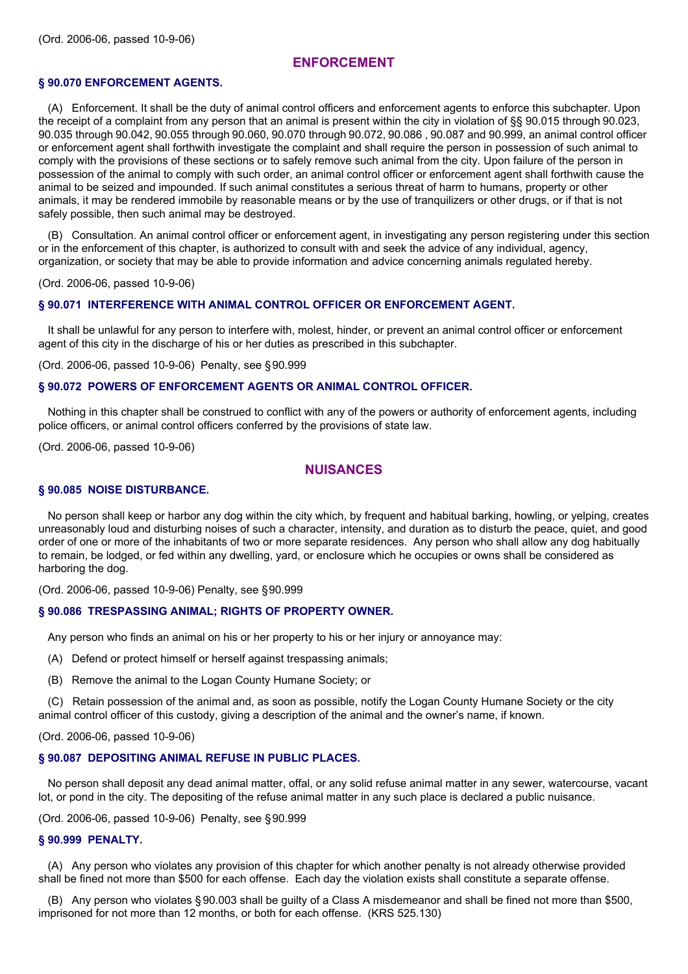## **ENFORCEMENT**

## **§ 90.070 ENFORCEMENT AGENTS.**

(A) Enforcement. It shall be the duty of animal control officers and enforcement agents to enforce this subchapter. Upon the receipt of a complaint from any person that an animal is present within the city in violation of §§ 90.015 through 90.023, 90.035 through 90.042, 90.055 through 90.060, 90.070 through 90.072, 90.086 , 90.087 and 90.999, an animal control officer or enforcement agent shall forthwith investigate the complaint and shall require the person in possession of such animal to comply with the provisions of these sections or to safely remove such animal from the city. Upon failure of the person in possession of the animal to comply with such order, an animal control officer or enforcement agent shall forthwith cause the animal to be seized and impounded. If such animal constitutes a serious threat of harm to humans, property or other animals, it may be rendered immobile by reasonable means or by the use of tranquilizers or other drugs, or if that is not safely possible, then such animal may be destroyed.

(B) Consultation. An animal control officer or enforcement agent, in investigating any person registering under this section or in the enforcement of this chapter, is authorized to consult with and seek the advice of any individual, agency, organization, or society that may be able to provide information and advice concerning animals regulated hereby.

(Ord. 2006-06, passed 10-9-06)

#### **§ 90.071 INTERFERENCE WITH ANIMAL CONTROL OFFICER OR ENFORCEMENT AGENT.**

It shall be unlawful for any person to interfere with, molest, hinder, or prevent an animal control officer or enforcement agent of this city in the discharge of his or her duties as prescribed in this subchapter.

(Ord. 2006-06, passed 10-9-06) Penalty, see §90.999

## **§ 90.072 POWERS OF ENFORCEMENT AGENTS OR ANIMAL CONTROL OFFICER.**

Nothing in this chapter shall be construed to conflict with any of the powers or authority of enforcement agents, including police officers, or animal control officers conferred by the provisions of state law.

(Ord. 2006-06, passed 10-9-06)

## **NUISANCES**

### **§ 90.085 NOISE DISTURBANCE.**

No person shall keep or harbor any dog within the city which, by frequent and habitual barking, howling, or yelping, creates unreasonably loud and disturbing noises of such a character, intensity, and duration as to disturb the peace, quiet, and good order of one or more of the inhabitants of two or more separate residences. Any person who shall allow any dog habitually to remain, be lodged, or fed within any dwelling, yard, or enclosure which he occupies or owns shall be considered as harboring the dog.

(Ord. 2006-06, passed 10-9-06) Penalty, see §90.999

#### **§ 90.086 TRESPASSING ANIMAL; RIGHTS OF PROPERTY OWNER.**

Any person who finds an animal on his or her property to his or her injury or annoyance may:

- (A) Defend or protect himself or herself against trespassing animals;
- (B) Remove the animal to the Logan County Humane Society; or

(C) Retain possession of the animal and, as soon as possible, notify the Logan County Humane Society or the city animal control officer of this custody, giving a description of the animal and the owner's name, if known.

(Ord. 2006-06, passed 10-9-06)

#### **§ 90.087 DEPOSITING ANIMAL REFUSE IN PUBLIC PLACES.**

No person shall deposit any dead animal matter, offal, or any solid refuse animal matter in any sewer, watercourse, vacant lot, or pond in the city. The depositing of the refuse animal matter in any such place is declared a public nuisance.

(Ord. 2006-06, passed 10-9-06) Penalty, see §90.999

#### **§ 90.999 PENALTY.**

(A) Any person who violates any provision of this chapter for which another penalty is not already otherwise provided shall be fined not more than \$500 for each offense. Each day the violation exists shall constitute a separate offense.

(B) Any person who violates § 90.003 shall be guilty of a Class A misdemeanor and shall be fined not more than \$500, imprisoned for not more than 12 months, or both for each offense. (KRS 525.130)